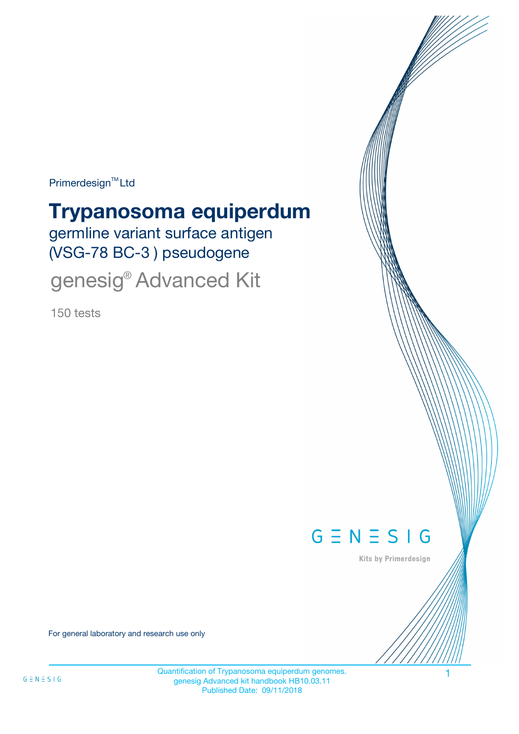Primerdesign<sup>™</sup>Ltd

# **Trypanosoma equiperdum**

germline variant surface antigen (VSG-78 BC-3 ) pseudogene

genesig<sup>®</sup> Advanced Kit

150 tests



Kits by Primerdesign

For general laboratory and research use only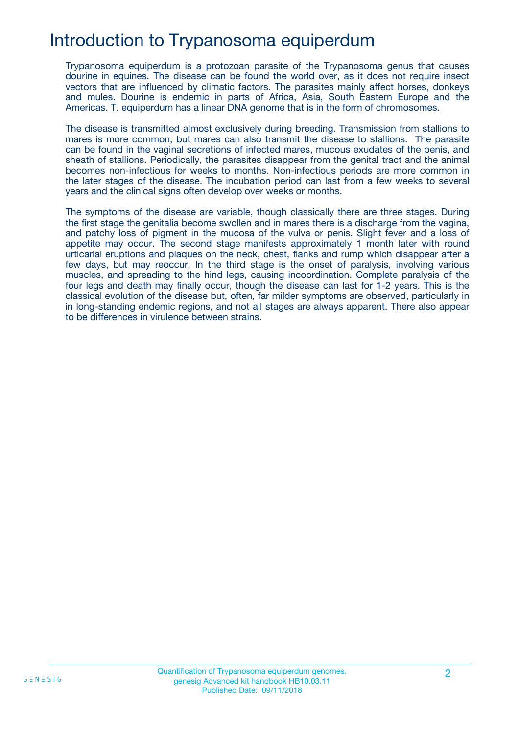## Introduction to Trypanosoma equiperdum

Trypanosoma equiperdum is a protozoan parasite of the Trypanosoma genus that causes dourine in equines. The disease can be found the world over, as it does not require insect vectors that are influenced by climatic factors. The parasites mainly affect horses, donkeys and mules. Dourine is endemic in parts of Africa, Asia, South Eastern Europe and the Americas. T. equiperdum has a linear DNA genome that is in the form of chromosomes.

The disease is transmitted almost exclusively during breeding. Transmission from stallions to mares is more common, but mares can also transmit the disease to stallions. The parasite can be found in the vaginal secretions of infected mares, mucous exudates of the penis, and sheath of stallions. Periodically, the parasites disappear from the genital tract and the animal becomes non-infectious for weeks to months. Non-infectious periods are more common in the later stages of the disease. The incubation period can last from a few weeks to several years and the clinical signs often develop over weeks or months.

The symptoms of the disease are variable, though classically there are three stages. During the first stage the genitalia become swollen and in mares there is a discharge from the vagina, and patchy loss of pigment in the mucosa of the vulva or penis. Slight fever and a loss of appetite may occur. The second stage manifests approximately 1 month later with round urticarial eruptions and plaques on the neck, chest, flanks and rump which disappear after a few days, but may reoccur. In the third stage is the onset of paralysis, involving various muscles, and spreading to the hind legs, causing incoordination. Complete paralysis of the four legs and death may finally occur, though the disease can last for 1-2 years. This is the classical evolution of the disease but, often, far milder symptoms are observed, particularly in in long-standing endemic regions, and not all stages are always apparent. There also appear to be differences in virulence between strains.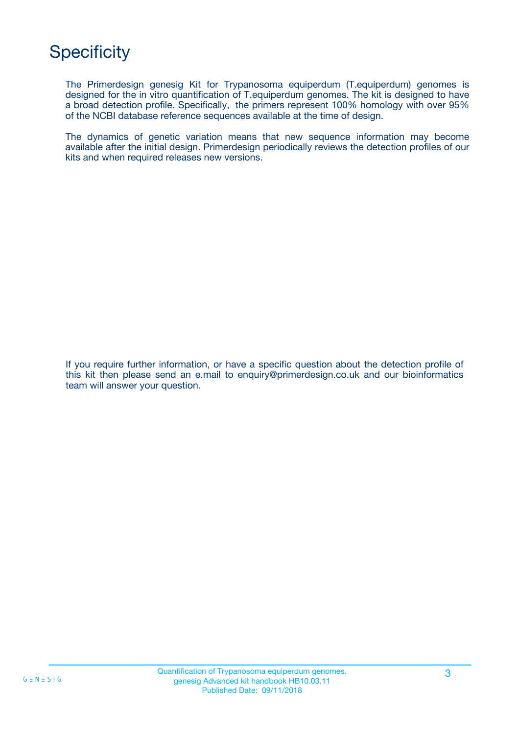## **Specificity**

The Primerdesign genesig Kit for Trypanosoma equiperdum (T.equiperdum) genomes is designed for the in vitro quantification of T.equiperdum genomes. The kit is designed to have a broad detection profile. Specifically, the primers represent 100% homology with over 95% of the NCBI database reference sequences available at the time of design.

The dynamics of genetic variation means that new sequence information may become available after the initial design. Primerdesign periodically reviews the detection profiles of our kits and when required releases new versions.

If you require further information, or have a specific question about the detection profile of this kit then please send an e.mail to enquiry@primerdesign.co.uk and our bioinformatics team will answer your question.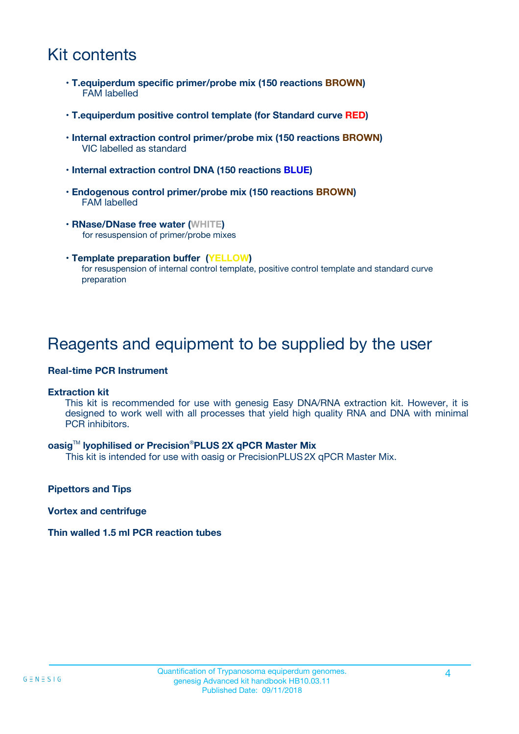### Kit contents

- **T.equiperdum specific primer/probe mix (150 reactions BROWN)** FAM labelled
- **T.equiperdum positive control template (for Standard curve RED)**
- **Internal extraction control primer/probe mix (150 reactions BROWN)** VIC labelled as standard
- **Internal extraction control DNA (150 reactions BLUE)**
- **Endogenous control primer/probe mix (150 reactions BROWN)** FAM labelled
- **RNase/DNase free water (WHITE)** for resuspension of primer/probe mixes
- **Template preparation buffer (YELLOW)** for resuspension of internal control template, positive control template and standard curve preparation

### Reagents and equipment to be supplied by the user

#### **Real-time PCR Instrument**

#### **Extraction kit**

This kit is recommended for use with genesig Easy DNA/RNA extraction kit. However, it is designed to work well with all processes that yield high quality RNA and DNA with minimal PCR inhibitors.

#### **oasig**TM **lyophilised or Precision**®**PLUS 2X qPCR Master Mix**

This kit is intended for use with oasig or PrecisionPLUS2X qPCR Master Mix.

**Pipettors and Tips**

**Vortex and centrifuge**

#### **Thin walled 1.5 ml PCR reaction tubes**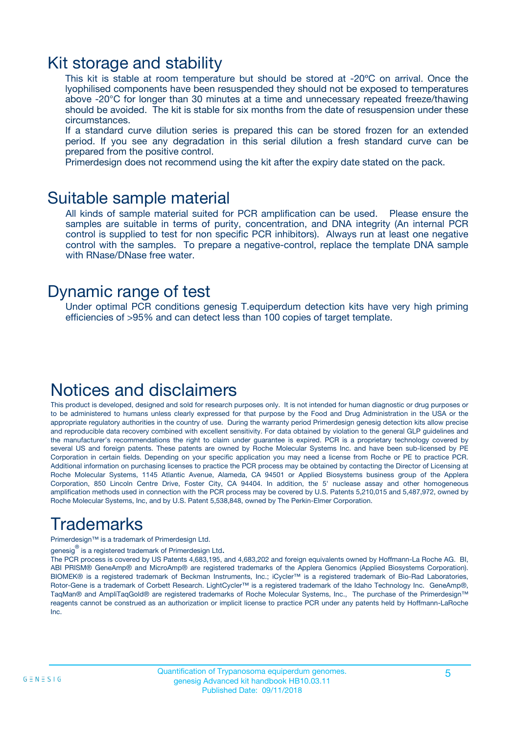### Kit storage and stability

This kit is stable at room temperature but should be stored at -20ºC on arrival. Once the lyophilised components have been resuspended they should not be exposed to temperatures above -20°C for longer than 30 minutes at a time and unnecessary repeated freeze/thawing should be avoided. The kit is stable for six months from the date of resuspension under these circumstances.

If a standard curve dilution series is prepared this can be stored frozen for an extended period. If you see any degradation in this serial dilution a fresh standard curve can be prepared from the positive control.

Primerdesign does not recommend using the kit after the expiry date stated on the pack.

### Suitable sample material

All kinds of sample material suited for PCR amplification can be used. Please ensure the samples are suitable in terms of purity, concentration, and DNA integrity (An internal PCR control is supplied to test for non specific PCR inhibitors). Always run at least one negative control with the samples. To prepare a negative-control, replace the template DNA sample with RNase/DNase free water.

### Dynamic range of test

Under optimal PCR conditions genesig T.equiperdum detection kits have very high priming efficiencies of >95% and can detect less than 100 copies of target template.

## Notices and disclaimers

This product is developed, designed and sold for research purposes only. It is not intended for human diagnostic or drug purposes or to be administered to humans unless clearly expressed for that purpose by the Food and Drug Administration in the USA or the appropriate regulatory authorities in the country of use. During the warranty period Primerdesign genesig detection kits allow precise and reproducible data recovery combined with excellent sensitivity. For data obtained by violation to the general GLP guidelines and the manufacturer's recommendations the right to claim under guarantee is expired. PCR is a proprietary technology covered by several US and foreign patents. These patents are owned by Roche Molecular Systems Inc. and have been sub-licensed by PE Corporation in certain fields. Depending on your specific application you may need a license from Roche or PE to practice PCR. Additional information on purchasing licenses to practice the PCR process may be obtained by contacting the Director of Licensing at Roche Molecular Systems, 1145 Atlantic Avenue, Alameda, CA 94501 or Applied Biosystems business group of the Applera Corporation, 850 Lincoln Centre Drive, Foster City, CA 94404. In addition, the 5' nuclease assay and other homogeneous amplification methods used in connection with the PCR process may be covered by U.S. Patents 5,210,015 and 5,487,972, owned by Roche Molecular Systems, Inc, and by U.S. Patent 5,538,848, owned by The Perkin-Elmer Corporation.

## Trademarks

Primerdesign™ is a trademark of Primerdesign Ltd.

genesig $^\circledR$  is a registered trademark of Primerdesign Ltd.

The PCR process is covered by US Patents 4,683,195, and 4,683,202 and foreign equivalents owned by Hoffmann-La Roche AG. BI, ABI PRISM® GeneAmp® and MicroAmp® are registered trademarks of the Applera Genomics (Applied Biosystems Corporation). BIOMEK® is a registered trademark of Beckman Instruments, Inc.; iCycler™ is a registered trademark of Bio-Rad Laboratories, Rotor-Gene is a trademark of Corbett Research. LightCycler™ is a registered trademark of the Idaho Technology Inc. GeneAmp®, TaqMan® and AmpliTaqGold® are registered trademarks of Roche Molecular Systems, Inc., The purchase of the Primerdesign™ reagents cannot be construed as an authorization or implicit license to practice PCR under any patents held by Hoffmann-LaRoche Inc.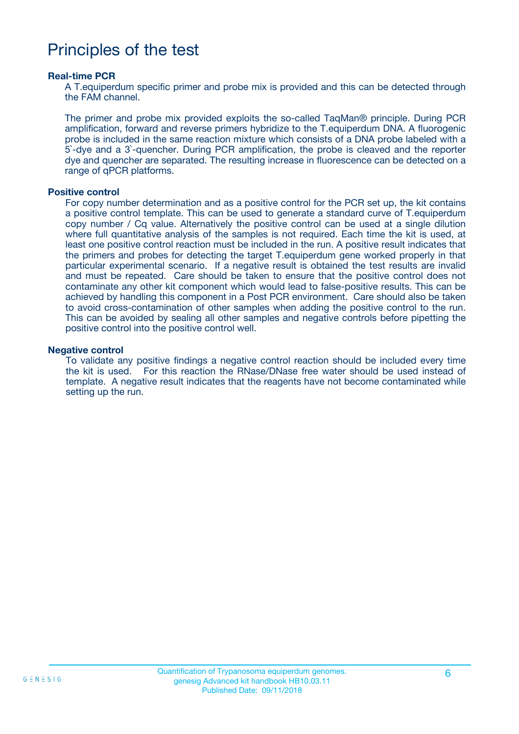### Principles of the test

#### **Real-time PCR**

A T.equiperdum specific primer and probe mix is provided and this can be detected through the FAM channel.

The primer and probe mix provided exploits the so-called TaqMan® principle. During PCR amplification, forward and reverse primers hybridize to the T.equiperdum DNA. A fluorogenic probe is included in the same reaction mixture which consists of a DNA probe labeled with a 5`-dye and a 3`-quencher. During PCR amplification, the probe is cleaved and the reporter dye and quencher are separated. The resulting increase in fluorescence can be detected on a range of qPCR platforms.

#### **Positive control**

For copy number determination and as a positive control for the PCR set up, the kit contains a positive control template. This can be used to generate a standard curve of T.equiperdum copy number / Cq value. Alternatively the positive control can be used at a single dilution where full quantitative analysis of the samples is not required. Each time the kit is used, at least one positive control reaction must be included in the run. A positive result indicates that the primers and probes for detecting the target T.equiperdum gene worked properly in that particular experimental scenario. If a negative result is obtained the test results are invalid and must be repeated. Care should be taken to ensure that the positive control does not contaminate any other kit component which would lead to false-positive results. This can be achieved by handling this component in a Post PCR environment. Care should also be taken to avoid cross-contamination of other samples when adding the positive control to the run. This can be avoided by sealing all other samples and negative controls before pipetting the positive control into the positive control well.

#### **Negative control**

To validate any positive findings a negative control reaction should be included every time the kit is used. For this reaction the RNase/DNase free water should be used instead of template. A negative result indicates that the reagents have not become contaminated while setting up the run.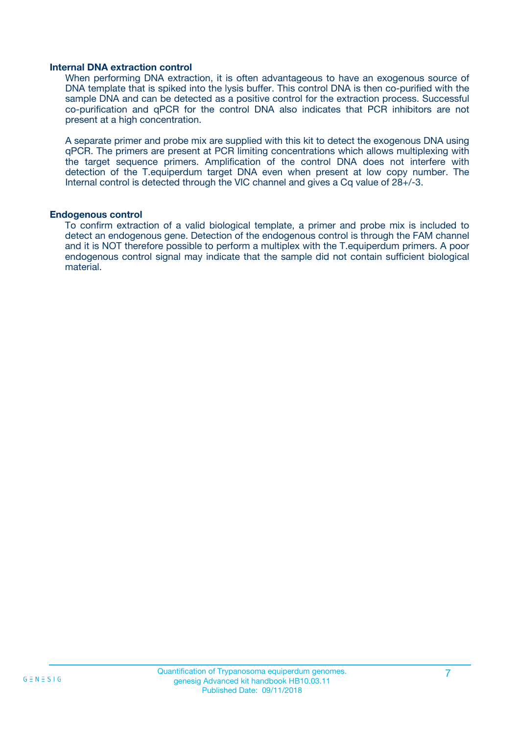#### **Internal DNA extraction control**

When performing DNA extraction, it is often advantageous to have an exogenous source of DNA template that is spiked into the lysis buffer. This control DNA is then co-purified with the sample DNA and can be detected as a positive control for the extraction process. Successful co-purification and qPCR for the control DNA also indicates that PCR inhibitors are not present at a high concentration.

A separate primer and probe mix are supplied with this kit to detect the exogenous DNA using qPCR. The primers are present at PCR limiting concentrations which allows multiplexing with the target sequence primers. Amplification of the control DNA does not interfere with detection of the T.equiperdum target DNA even when present at low copy number. The Internal control is detected through the VIC channel and gives a Cq value of 28+/-3.

#### **Endogenous control**

To confirm extraction of a valid biological template, a primer and probe mix is included to detect an endogenous gene. Detection of the endogenous control is through the FAM channel and it is NOT therefore possible to perform a multiplex with the T.equiperdum primers. A poor endogenous control signal may indicate that the sample did not contain sufficient biological material.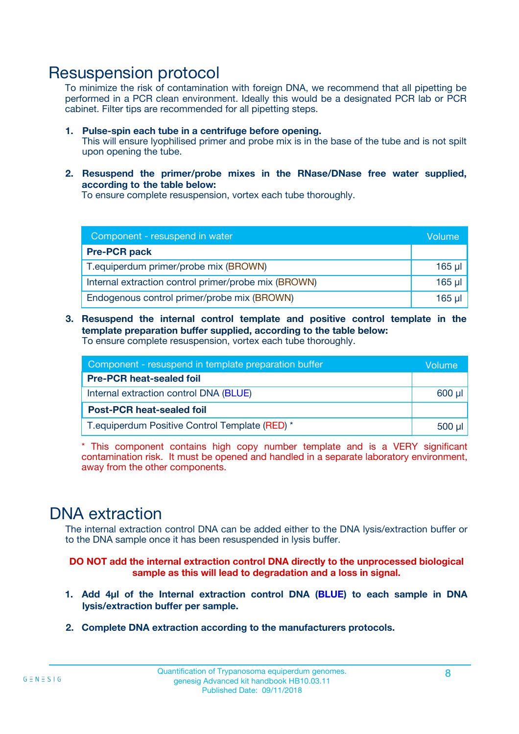### Resuspension protocol

To minimize the risk of contamination with foreign DNA, we recommend that all pipetting be performed in a PCR clean environment. Ideally this would be a designated PCR lab or PCR cabinet. Filter tips are recommended for all pipetting steps.

- **1. Pulse-spin each tube in a centrifuge before opening.** This will ensure lyophilised primer and probe mix is in the base of the tube and is not spilt upon opening the tube.
- **2. Resuspend the primer/probe mixes in the RNase/DNase free water supplied, according to the table below:**

To ensure complete resuspension, vortex each tube thoroughly.

| Component - resuspend in water                       |          |  |
|------------------------------------------------------|----------|--|
| <b>Pre-PCR pack</b>                                  |          |  |
| T.equiperdum primer/probe mix (BROWN)                | $165$ µl |  |
| Internal extraction control primer/probe mix (BROWN) | $165$ µl |  |
| Endogenous control primer/probe mix (BROWN)          | 165 µl   |  |

**3. Resuspend the internal control template and positive control template in the template preparation buffer supplied, according to the table below:** To ensure complete resuspension, vortex each tube thoroughly.

| Component - resuspend in template preparation buffer |  |  |  |
|------------------------------------------------------|--|--|--|
| <b>Pre-PCR heat-sealed foil</b>                      |  |  |  |
| Internal extraction control DNA (BLUE)               |  |  |  |
| <b>Post-PCR heat-sealed foil</b>                     |  |  |  |
| T. equiperdum Positive Control Template (RED) *      |  |  |  |

\* This component contains high copy number template and is a VERY significant contamination risk. It must be opened and handled in a separate laboratory environment, away from the other components.

### DNA extraction

The internal extraction control DNA can be added either to the DNA lysis/extraction buffer or to the DNA sample once it has been resuspended in lysis buffer.

**DO NOT add the internal extraction control DNA directly to the unprocessed biological sample as this will lead to degradation and a loss in signal.**

- **1. Add 4µl of the Internal extraction control DNA (BLUE) to each sample in DNA lysis/extraction buffer per sample.**
- **2. Complete DNA extraction according to the manufacturers protocols.**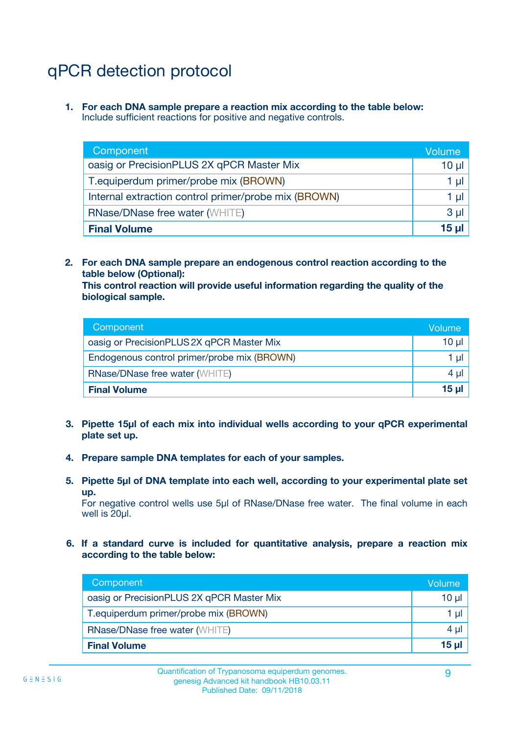# qPCR detection protocol

**1. For each DNA sample prepare a reaction mix according to the table below:** Include sufficient reactions for positive and negative controls.

| Component                                            | Volume   |
|------------------------------------------------------|----------|
| oasig or PrecisionPLUS 2X qPCR Master Mix            | 10 $\mu$ |
| T.equiperdum primer/probe mix (BROWN)                | 1 µI     |
| Internal extraction control primer/probe mix (BROWN) | 1 µl     |
| <b>RNase/DNase free water (WHITE)</b>                | $3 \mu$  |
| <b>Final Volume</b>                                  | 15 µl    |

**2. For each DNA sample prepare an endogenous control reaction according to the table below (Optional):**

**This control reaction will provide useful information regarding the quality of the biological sample.**

| Component                                   | Volume   |
|---------------------------------------------|----------|
| oasig or PrecisionPLUS 2X qPCR Master Mix   | $10 \mu$ |
| Endogenous control primer/probe mix (BROWN) | 1 µI     |
| <b>RNase/DNase free water (WHITE)</b>       | $4 \mu$  |
| <b>Final Volume</b>                         | 15 µl    |

- **3. Pipette 15µl of each mix into individual wells according to your qPCR experimental plate set up.**
- **4. Prepare sample DNA templates for each of your samples.**
- **5. Pipette 5µl of DNA template into each well, according to your experimental plate set up.**

For negative control wells use 5µl of RNase/DNase free water. The final volume in each well is 20ul.

**6. If a standard curve is included for quantitative analysis, prepare a reaction mix according to the table below:**

| Component                                 | Volume  |
|-------------------------------------------|---------|
| oasig or PrecisionPLUS 2X qPCR Master Mix | 10 µl   |
| T.equiperdum primer/probe mix (BROWN)     | 1 µI    |
| <b>RNase/DNase free water (WHITE)</b>     | $4 \mu$ |
| <b>Final Volume</b>                       | 15 µl   |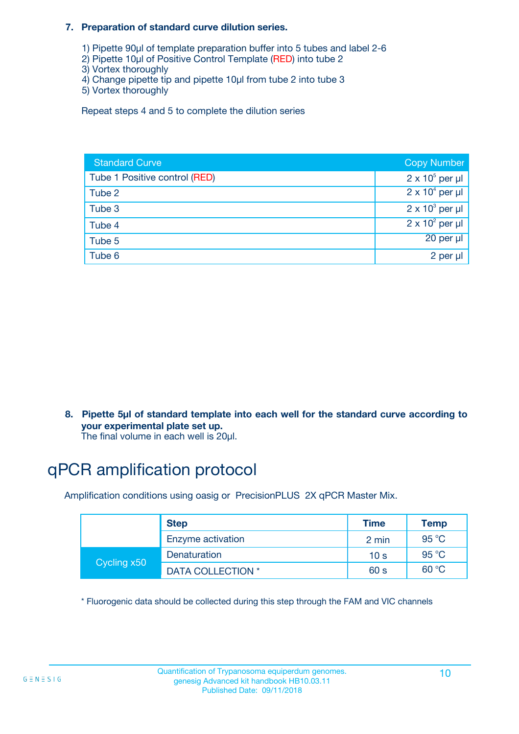#### **7. Preparation of standard curve dilution series.**

- 1) Pipette 90µl of template preparation buffer into 5 tubes and label 2-6
- 2) Pipette 10µl of Positive Control Template (RED) into tube 2
- 3) Vortex thoroughly
- 4) Change pipette tip and pipette 10µl from tube 2 into tube 3
- 5) Vortex thoroughly

Repeat steps 4 and 5 to complete the dilution series

| <b>Standard Curve</b>         | <b>Copy Number</b>     |
|-------------------------------|------------------------|
| Tube 1 Positive control (RED) | $2 \times 10^5$ per µl |
| Tube 2                        | $2 \times 10^4$ per µl |
| Tube 3                        | $2 \times 10^3$ per µl |
| Tube 4                        | $2 \times 10^2$ per µl |
| Tube 5                        | 20 per µl              |
| Tube 6                        | 2 per µl               |

**8. Pipette 5µl of standard template into each well for the standard curve according to your experimental plate set up.**

#### The final volume in each well is 20µl.

## qPCR amplification protocol

Amplification conditions using oasig or PrecisionPLUS 2X qPCR Master Mix.

|             | <b>Step</b>       | <b>Time</b>     | Temp    |
|-------------|-------------------|-----------------|---------|
|             | Enzyme activation | 2 min           | 95 °C   |
| Cycling x50 | Denaturation      | 10 <sub>s</sub> | 95 $°C$ |
|             | DATA COLLECTION * | 60 s            | 60 °C   |

\* Fluorogenic data should be collected during this step through the FAM and VIC channels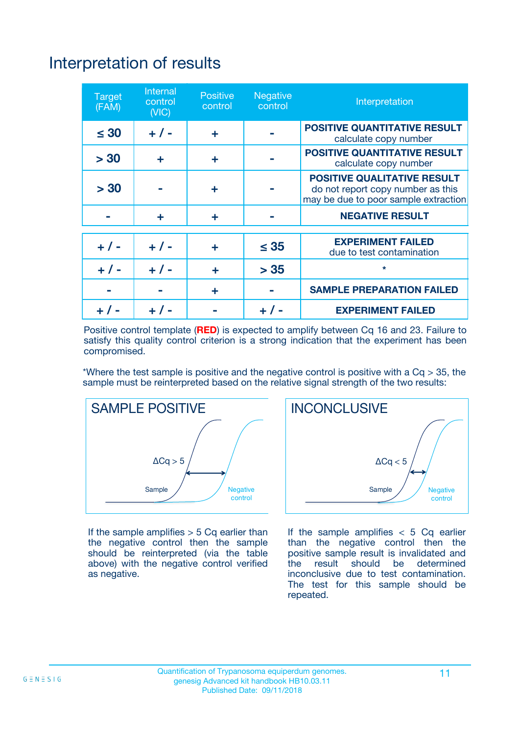# Interpretation of results

| <b>Target</b><br>(FAM) | <b>Internal</b><br>control<br>(NIC) | <b>Positive</b><br>control | <b>Negative</b><br>control | Interpretation                                                                                                  |
|------------------------|-------------------------------------|----------------------------|----------------------------|-----------------------------------------------------------------------------------------------------------------|
| $\leq 30$              | $+ 1 -$                             | ÷                          |                            | <b>POSITIVE QUANTITATIVE RESULT</b><br>calculate copy number                                                    |
| > 30                   | ٠                                   | ÷                          |                            | <b>POSITIVE QUANTITATIVE RESULT</b><br>calculate copy number                                                    |
| > 30                   |                                     | ÷                          |                            | <b>POSITIVE QUALITATIVE RESULT</b><br>do not report copy number as this<br>may be due to poor sample extraction |
|                        | ÷                                   | ÷                          |                            | <b>NEGATIVE RESULT</b>                                                                                          |
| $+ 1 -$                | $+ 1 -$                             | ÷                          | $\leq$ 35                  | <b>EXPERIMENT FAILED</b><br>due to test contamination                                                           |
| $+$ / -                | $+ 1 -$                             | ÷                          | > 35                       | $\star$                                                                                                         |
|                        |                                     | ÷                          |                            | <b>SAMPLE PREPARATION FAILED</b>                                                                                |
|                        |                                     |                            | $+$ /                      | <b>EXPERIMENT FAILED</b>                                                                                        |

Positive control template (**RED**) is expected to amplify between Cq 16 and 23. Failure to satisfy this quality control criterion is a strong indication that the experiment has been compromised.

\*Where the test sample is positive and the negative control is positive with a  $Ca > 35$ , the sample must be reinterpreted based on the relative signal strength of the two results:



If the sample amplifies  $> 5$  Cq earlier than the negative control then the sample should be reinterpreted (via the table above) with the negative control verified as negative.



If the sample amplifies  $< 5$  Cq earlier than the negative control then the positive sample result is invalidated and<br>the result should be determined  $the$  result should be inconclusive due to test contamination. The test for this sample should be repeated.